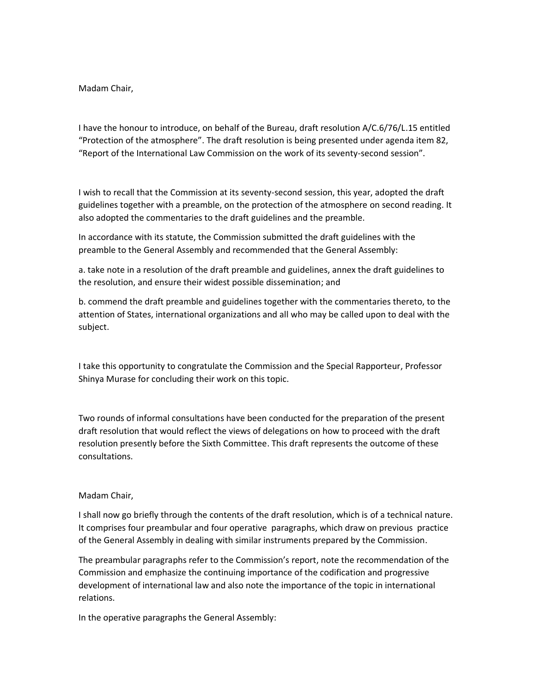Madam Chair,

I have the honour to introduce, on behalf of the Bureau, draft resolution A/C.6/76/L.15 entitled "Protection of the atmosphere". The draft resolution is being presented under agenda item 82, "Report of the International Law Commission on the work of its seventy-second session".

I wish to recall that the Commission at its seventy-second session, this year, adopted the draft guidelines together with a preamble, on the protection of the atmosphere on second reading. It also adopted the commentaries to the draft guidelines and the preamble.

In accordance with its statute, the Commission submitted the draft guidelines with the preamble to the General Assembly and recommended that the General Assembly:

a. take note in a resolution of the draft preamble and guidelines, annex the draft guidelines to the resolution, and ensure their widest possible dissemination; and

b. commend the draft preamble and guidelines together with the commentaries thereto, to the attention of States, international organizations and all who may be called upon to deal with the subject.

I take this opportunity to congratulate the Commission and the Special Rapporteur, Professor Shinya Murase for concluding their work on this topic.

Two rounds of informal consultations have been conducted for the preparation of the present draft resolution that would reflect the views of delegations on how to proceed with the draft resolution presently before the Sixth Committee. This draft represents the outcome of these consultations.

## Madam Chair,

I shall now go briefly through the contents of the draft resolution, which is of a technical nature. It comprises four preambular and four operative paragraphs, which draw on previous practice of the General Assembly in dealing with similar instruments prepared by the Commission.

The preambular paragraphs refer to the Commission's report, note the recommendation of the Commission and emphasize the continuing importance of the codification and progressive development of international law and also note the importance of the topic in international relations.

In the operative paragraphs the General Assembly: